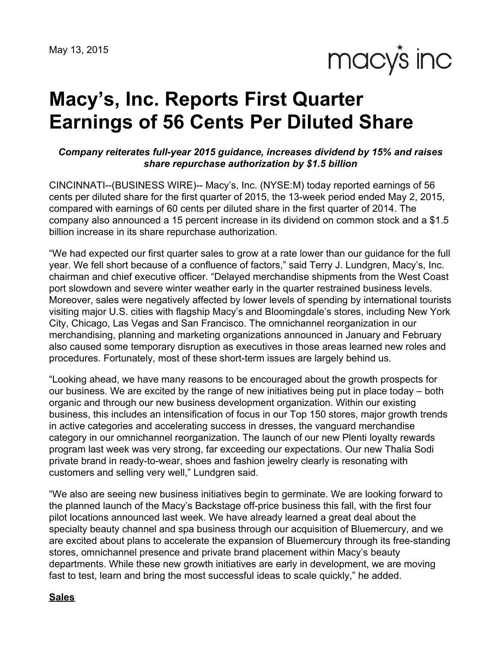May 13, 2015

macy's inc

# **Macy's, Inc. Reports First Quarter Earnings of 56 Cents Per Diluted Share**

#### *Company reiterates full-year 2015 guidance, increases dividend by 15% and raises share repurchase authorization by \$1.5 billion*

CINCINNATI--(BUSINESS WIRE)-- Macy's, Inc. (NYSE:M) today reported earnings of 56 cents per diluted share for the first quarter of 2015, the 13-week period ended May 2, 2015, compared with earnings of 60 cents per diluted share in the first quarter of 2014. The company also announced a 15 percent increase in its dividend on common stock and a \$1.5 billion increase in its share repurchase authorization.

"We had expected our first quarter sales to grow at a rate lower than our guidance for the full year. We fell short because of a confluence of factors," said Terry J. Lundgren, Macy's, Inc. chairman and chief executive officer. "Delayed merchandise shipments from the West Coast port slowdown and severe winter weather early in the quarter restrained business levels. Moreover, sales were negatively affected by lower levels of spending by international tourists visiting major U.S. cities with flagship Macy's and Bloomingdale's stores, including New York City, Chicago, Las Vegas and San Francisco. The omnichannel reorganization in our merchandising, planning and marketing organizations announced in January and February also caused some temporary disruption as executives in those areas learned new roles and procedures. Fortunately, most of these short-term issues are largely behind us.

"Looking ahead, we have many reasons to be encouraged about the growth prospects for our business. We are excited by the range of new initiatives being put in place today – both organic and through our new business development organization. Within our existing business, this includes an intensification of focus in our Top 150 stores, major growth trends in active categories and accelerating success in dresses, the vanguard merchandise category in our omnichannel reorganization. The launch of our new Plenti loyalty rewards program last week was very strong, far exceeding our expectations. Our new Thalia Sodi private brand in ready-to-wear, shoes and fashion jewelry clearly is resonating with customers and selling very well," Lundgren said.

"We also are seeing new business initiatives begin to germinate. We are looking forward to the planned launch of the Macy's Backstage off-price business this fall, with the first four pilot locations announced last week. We have already learned a great deal about the specialty beauty channel and spa business through our acquisition of Bluemercury, and we are excited about plans to accelerate the expansion of Bluemercury through its free-standing stores, omnichannel presence and private brand placement within Macy's beauty departments. While these new growth initiatives are early in development, we are moving fast to test, learn and bring the most successful ideas to scale quickly," he added.

#### **Sales**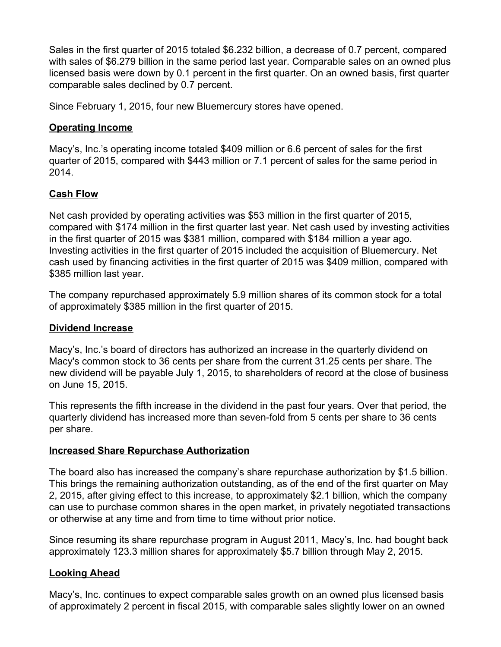Sales in the first quarter of 2015 totaled \$6.232 billion, a decrease of 0.7 percent, compared with sales of \$6.279 billion in the same period last year. Comparable sales on an owned plus licensed basis were down by 0.1 percent in the first quarter. On an owned basis, first quarter comparable sales declined by 0.7 percent.

Since February 1, 2015, four new Bluemercury stores have opened.

#### **Operating Income**

Macy's, Inc.'s operating income totaled \$409 million or 6.6 percent of sales for the first quarter of 2015, compared with \$443 million or 7.1 percent of sales for the same period in 2014.

## **Cash Flow**

Net cash provided by operating activities was \$53 million in the first quarter of 2015, compared with \$174 million in the first quarter last year. Net cash used by investing activities in the first quarter of 2015 was \$381 million, compared with \$184 million a year ago. Investing activities in the first quarter of 2015 included the acquisition of Bluemercury. Net cash used by financing activities in the first quarter of 2015 was \$409 million, compared with \$385 million last year.

The company repurchased approximately 5.9 million shares of its common stock for a total of approximately \$385 million in the first quarter of 2015.

#### **Dividend Increase**

Macy's, Inc.'s board of directors has authorized an increase in the quarterly dividend on Macy's common stock to 36 cents per share from the current 31.25 cents per share. The new dividend will be payable July 1, 2015, to shareholders of record at the close of business on June 15, 2015.

This represents the fifth increase in the dividend in the past four years. Over that period, the quarterly dividend has increased more than seven-fold from 5 cents per share to 36 cents per share.

#### **Increased Share Repurchase Authorization**

The board also has increased the company's share repurchase authorization by \$1.5 billion. This brings the remaining authorization outstanding, as of the end of the first quarter on May 2, 2015, after giving effect to this increase, to approximately \$2.1 billion, which the company can use to purchase common shares in the open market, in privately negotiated transactions or otherwise at any time and from time to time without prior notice.

Since resuming its share repurchase program in August 2011, Macy's, Inc. had bought back approximately 123.3 million shares for approximately \$5.7 billion through May 2, 2015.

#### **Looking Ahead**

Macy's, Inc. continues to expect comparable sales growth on an owned plus licensed basis of approximately 2 percent in fiscal 2015, with comparable sales slightly lower on an owned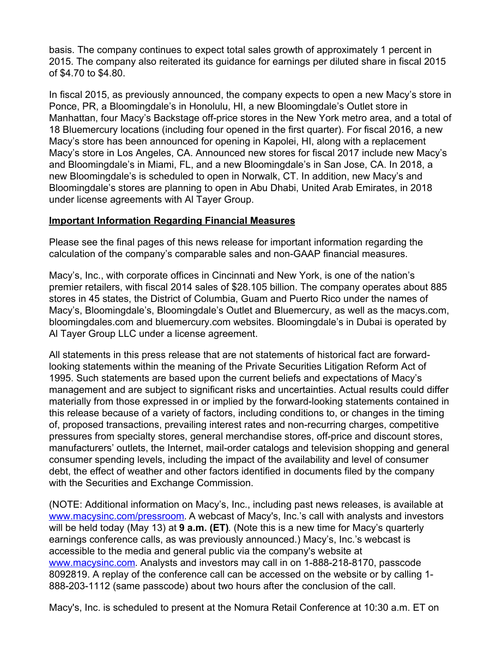basis. The company continues to expect total sales growth of approximately 1 percent in 2015. The company also reiterated its guidance for earnings per diluted share in fiscal 2015 of \$4.70 to \$4.80.

In fiscal 2015, as previously announced, the company expects to open a new Macy's store in Ponce, PR, a Bloomingdale's in Honolulu, HI, a new Bloomingdale's Outlet store in Manhattan, four Macy's Backstage off-price stores in the New York metro area, and a total of 18 Bluemercury locations (including four opened in the first quarter). For fiscal 2016, a new Macy's store has been announced for opening in Kapolei, HI, along with a replacement Macy's store in Los Angeles, CA. Announced new stores for fiscal 2017 include new Macy's and Bloomingdale's in Miami, FL, and a new Bloomingdale's in San Jose, CA. In 2018, a new Bloomingdale's is scheduled to open in Norwalk, CT. In addition, new Macy's and Bloomingdale's stores are planning to open in Abu Dhabi, United Arab Emirates, in 2018 under license agreements with Al Tayer Group.

#### **Important Information Regarding Financial Measures**

Please see the final pages of this news release for important information regarding the calculation of the company's comparable sales and non-GAAP financial measures.

Macy's, Inc., with corporate offices in Cincinnati and New York, is one of the nation's premier retailers, with fiscal 2014 sales of \$28.105 billion. The company operates about 885 stores in 45 states, the District of Columbia, Guam and Puerto Rico under the names of Macy's, Bloomingdale's, Bloomingdale's Outlet and Bluemercury, as well as the macys.com, bloomingdales.com and bluemercury.com websites. Bloomingdale's in Dubai is operated by Al Tayer Group LLC under a license agreement.

All statements in this press release that are not statements of historical fact are forwardlooking statements within the meaning of the Private Securities Litigation Reform Act of 1995. Such statements are based upon the current beliefs and expectations of Macy's management and are subject to significant risks and uncertainties. Actual results could differ materially from those expressed in or implied by the forward-looking statements contained in this release because of a variety of factors, including conditions to, or changes in the timing of, proposed transactions, prevailing interest rates and non-recurring charges, competitive pressures from specialty stores, general merchandise stores, off-price and discount stores, manufacturers' outlets, the Internet, mail-order catalogs and television shopping and general consumer spending levels, including the impact of the availability and level of consumer debt, the effect of weather and other factors identified in documents filed by the company with the Securities and Exchange Commission.

(NOTE: Additional information on Macy's, Inc., including past news releases, is available at [www.macysinc.com/pressroom](http://www.macysinc.com/pressroom). A webcast of Macy's, Inc.'s call with analysts and investors will be held today (May 13) at **9 a.m. (ET)**. (Note this is a new time for Macy's quarterly earnings conference calls, as was previously announced.) Macy's, Inc.'s webcast is accessible to the media and general public via the company's website at [www.macysinc.com](http://www.macysinc.com). Analysts and investors may call in on 1-888-218-8170, passcode 8092819. A replay of the conference call can be accessed on the website or by calling 1- 888-203-1112 (same passcode) about two hours after the conclusion of the call.

Macy's, Inc. is scheduled to present at the Nomura Retail Conference at 10:30 a.m. ET on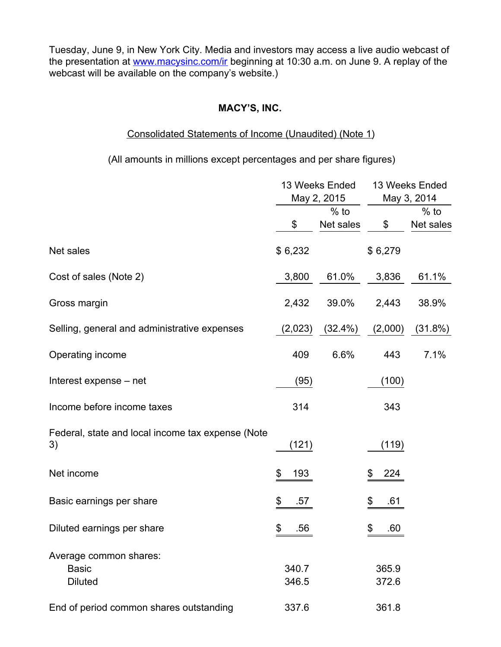Tuesday, June 9, in New York City. Media and investors may access a live audio webcast of the presentation at [www.macysinc.com/ir](http://www.macysinc.com/ir) beginning at 10:30 a.m. on June 9. A replay of the webcast will be available on the company's website.)

## **MACY'S, INC.**

#### Consolidated Statements of Income (Unaudited) (Note 1)

(All amounts in millions except percentages and per share figures)

|                                                          |                | 13 Weeks Ended<br>May 2, 2015 | 13 Weeks Ended<br>May 3, 2014 |           |  |
|----------------------------------------------------------|----------------|-------------------------------|-------------------------------|-----------|--|
|                                                          |                | $%$ to                        |                               | $%$ to    |  |
|                                                          | \$             | Net sales                     | \$                            | Net sales |  |
| Net sales                                                | \$6,232        |                               | \$6,279                       |           |  |
| Cost of sales (Note 2)                                   | 3,800          | 61.0%                         | 3,836                         | 61.1%     |  |
| Gross margin                                             | 2,432          | 39.0%                         | 2,443                         | 38.9%     |  |
| Selling, general and administrative expenses             | (2,023)        | $(32.4\%)$                    | (2,000)                       | (31.8%)   |  |
| Operating income                                         | 409            | 6.6%                          | 443                           | 7.1%      |  |
| Interest expense - net                                   | (95)           |                               | (100)                         |           |  |
| Income before income taxes                               | 314            |                               | 343                           |           |  |
| Federal, state and local income tax expense (Note<br>3)  | (121)          |                               | (119)                         |           |  |
| Net income                                               | \$<br>193      |                               | 224<br>\$                     |           |  |
| Basic earnings per share                                 | \$<br>.57      |                               | \$<br>.61                     |           |  |
| Diluted earnings per share                               | \$<br>.56      |                               | \$<br>.60                     |           |  |
| Average common shares:<br><b>Basic</b><br><b>Diluted</b> | 340.7<br>346.5 |                               | 365.9<br>372.6                |           |  |
| End of period common shares outstanding                  | 337.6          |                               | 361.8                         |           |  |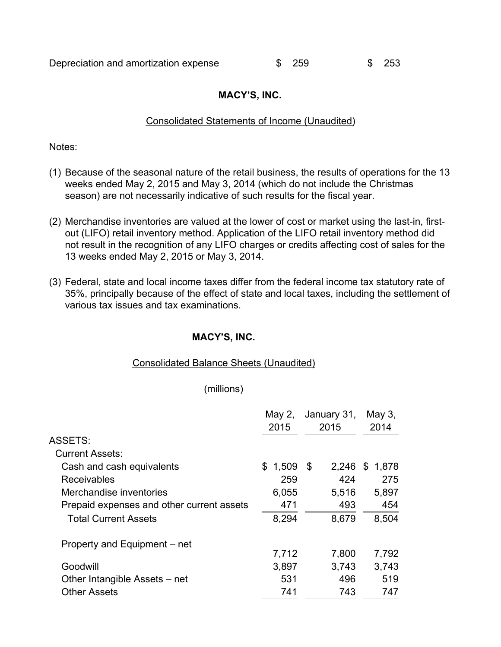Depreciation and amortization expense  $$ 259$  \$ 253

# **MACY'S, INC.**

## Consolidated Statements of Income (Unaudited)

Notes:

- (1) Because of the seasonal nature of the retail business, the results of operations for the 13 weeks ended May 2, 2015 and May 3, 2014 (which do not include the Christmas season) are not necessarily indicative of such results for the fiscal year.
- (2) Merchandise inventories are valued at the lower of cost or market using the last-in, firstout (LIFO) retail inventory method. Application of the LIFO retail inventory method did not result in the recognition of any LIFO charges or credits affecting cost of sales for the 13 weeks ended May 2, 2015 or May 3, 2014.
- (3) Federal, state and local income taxes differ from the federal income tax statutory rate of 35%, principally because of the effect of state and local taxes, including the settlement of various tax issues and tax examinations.

# **MACY'S, INC.**

# Consolidated Balance Sheets (Unaudited)

# (millions)

|                                           | May 2,<br>2015 | January 31,<br>2015 | May $3$ ,<br>2014 |  |
|-------------------------------------------|----------------|---------------------|-------------------|--|
| ASSETS:                                   |                |                     |                   |  |
| <b>Current Assets:</b>                    |                |                     |                   |  |
| Cash and cash equivalents                 | \$<br>1,509    | \$<br>2,246         | \$1,878           |  |
| Receivables                               | 259            | 424                 | 275               |  |
| Merchandise inventories                   | 6,055          | 5,516               | 5,897             |  |
| Prepaid expenses and other current assets | 471            | 493                 | 454               |  |
| <b>Total Current Assets</b>               | 8,294          | 8,679               | 8,504             |  |
| Property and Equipment – net              |                |                     |                   |  |
|                                           | 7,712          | 7,800               | 7,792             |  |
| Goodwill                                  | 3,897          | 3,743               | 3,743             |  |
| Other Intangible Assets – net             | 531            | 496                 | 519               |  |
| <b>Other Assets</b>                       | 741            | 743                 | 747               |  |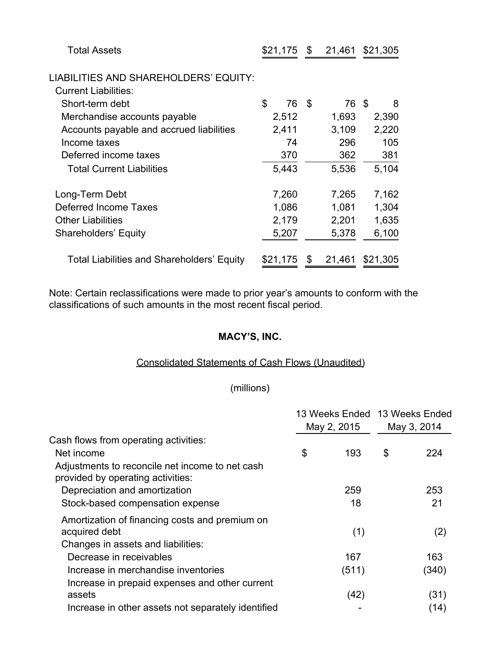| <b>Total Assets</b>                        | \$21,175 |       | \$<br>21,461 | \$21,305 |
|--------------------------------------------|----------|-------|--------------|----------|
| LIABILITIES AND SHAREHOLDERS' EQUITY:      |          |       |              |          |
| <b>Current Liabilities:</b>                |          |       |              |          |
| Short-term debt                            | \$       | 76    | \$<br>76 \$  | 8        |
| Merchandise accounts payable               |          | 2,512 | 1,693        | 2,390    |
| Accounts payable and accrued liabilities   |          | 2,411 | 3,109        | 2,220    |
| Income taxes                               |          | 74    | 296          | 105      |
| Deferred income taxes                      |          | 370   | 362          | 381      |
| <b>Total Current Liabilities</b>           |          | 5,443 | 5,536        | 5,104    |
| Long-Term Debt                             |          | 7,260 | 7,265        | 7,162    |
| Deferred Income Taxes                      |          | 1,086 | 1,081        | 1,304    |
| <b>Other Liabilities</b>                   |          | 2,179 | 2,201        | 1,635    |
| <b>Shareholders' Equity</b>                |          | 5,207 | 5,378        | 6,100    |
| Total Liabilities and Shareholders' Equity | \$21,175 |       | \$<br>21,461 | \$21,305 |

Note: Certain reclassifications were made to prior year's amounts to conform with the classifications of such amounts in the most recent fiscal period.

# **MACY'S, INC.**

# Consolidated Statements of Cash Flows (Unaudited)

# (millions)

|                                                                                      |    | May 2, 2015 |    | 13 Weeks Ended 13 Weeks Ended<br>May 3, 2014 |  |
|--------------------------------------------------------------------------------------|----|-------------|----|----------------------------------------------|--|
| Cash flows from operating activities:                                                |    |             |    |                                              |  |
| Net income                                                                           | \$ | 193         | \$ | 224                                          |  |
| Adjustments to reconcile net income to net cash<br>provided by operating activities: |    |             |    |                                              |  |
| Depreciation and amortization                                                        |    | 259         |    | 253                                          |  |
| Stock-based compensation expense                                                     |    | 18          |    | 21                                           |  |
| Amortization of financing costs and premium on                                       |    |             |    |                                              |  |
| acquired debt                                                                        |    | (1)         |    | (2)                                          |  |
| Changes in assets and liabilities:                                                   |    |             |    |                                              |  |
| Decrease in receivables                                                              |    | 167         |    | 163                                          |  |
| Increase in merchandise inventories                                                  |    | (511)       |    | (340)                                        |  |
| Increase in prepaid expenses and other current                                       |    |             |    |                                              |  |
| assets                                                                               |    | (42)        |    | (31)                                         |  |
| Increase in other assets not separately identified                                   |    |             |    | (14)                                         |  |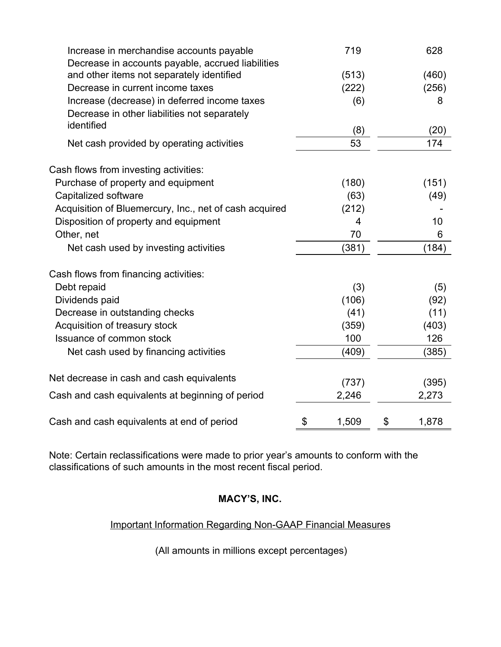| Increase in merchandise accounts payable                                                     | 719            | 628            |
|----------------------------------------------------------------------------------------------|----------------|----------------|
| Decrease in accounts payable, accrued liabilities                                            |                |                |
| and other items not separately identified<br>Decrease in current income taxes                | (513)<br>(222) | (460)<br>(256) |
|                                                                                              |                | 8              |
| Increase (decrease) in deferred income taxes<br>Decrease in other liabilities not separately | (6)            |                |
| identified                                                                                   |                |                |
|                                                                                              | (8)            | (20)           |
| Net cash provided by operating activities                                                    | 53             | 174            |
| Cash flows from investing activities:                                                        |                |                |
| Purchase of property and equipment                                                           | (180)          | (151)          |
| Capitalized software                                                                         | (63)           | (49)           |
| Acquisition of Bluemercury, Inc., net of cash acquired                                       | (212)          |                |
| Disposition of property and equipment                                                        | 4              | 10             |
| Other, net                                                                                   | 70             | 6              |
| Net cash used by investing activities                                                        | (381)          | (184)          |
| Cash flows from financing activities:                                                        |                |                |
| Debt repaid                                                                                  | (3)            | (5)            |
| Dividends paid                                                                               | (106)          | (92)           |
| Decrease in outstanding checks                                                               | (41)           | (11)           |
| Acquisition of treasury stock                                                                | (359)          | (403)          |
| Issuance of common stock                                                                     | 100            | 126            |
| Net cash used by financing activities                                                        | (409)          | (385)          |
| Net decrease in cash and cash equivalents                                                    |                |                |
|                                                                                              | (737)          | (395)          |
| Cash and cash equivalents at beginning of period                                             | 2,246          | 2,273          |
| Cash and cash equivalents at end of period                                                   | \$<br>1,509    | \$<br>1,878    |

Note: Certain reclassifications were made to prior year's amounts to conform with the classifications of such amounts in the most recent fiscal period.

## **MACY'S, INC.**

### Important Information Regarding Non-GAAP Financial Measures

(All amounts in millions except percentages)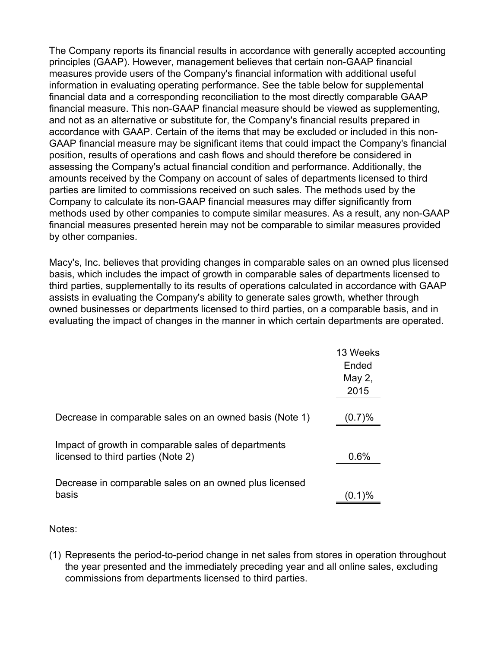The Company reports its financial results in accordance with generally accepted accounting principles (GAAP). However, management believes that certain non-GAAP financial measures provide users of the Company's financial information with additional useful information in evaluating operating performance. See the table below for supplemental financial data and a corresponding reconciliation to the most directly comparable GAAP financial measure. This non-GAAP financial measure should be viewed as supplementing, and not as an alternative or substitute for, the Company's financial results prepared in accordance with GAAP. Certain of the items that may be excluded or included in this non-GAAP financial measure may be significant items that could impact the Company's financial position, results of operations and cash flows and should therefore be considered in assessing the Company's actual financial condition and performance. Additionally, the amounts received by the Company on account of sales of departments licensed to third parties are limited to commissions received on such sales. The methods used by the Company to calculate its non-GAAP financial measures may differ significantly from methods used by other companies to compute similar measures. As a result, any non-GAAP financial measures presented herein may not be comparable to similar measures provided by other companies.

Macy's, Inc. believes that providing changes in comparable sales on an owned plus licensed basis, which includes the impact of growth in comparable sales of departments licensed to third parties, supplementally to its results of operations calculated in accordance with GAAP assists in evaluating the Company's ability to generate sales growth, whether through owned businesses or departments licensed to third parties, on a comparable basis, and in evaluating the impact of changes in the manner in which certain departments are operated.

|                                                                                           | 13 Weeks<br>Ended<br>May 2,<br>2015 |
|-------------------------------------------------------------------------------------------|-------------------------------------|
| Decrease in comparable sales on an owned basis (Note 1)                                   | $(0.7) \%$                          |
| Impact of growth in comparable sales of departments<br>licensed to third parties (Note 2) | 0.6%                                |
| Decrease in comparable sales on an owned plus licensed<br>basis                           |                                     |

Notes:

(1) Represents the period-to-period change in net sales from stores in operation throughout the year presented and the immediately preceding year and all online sales, excluding commissions from departments licensed to third parties.